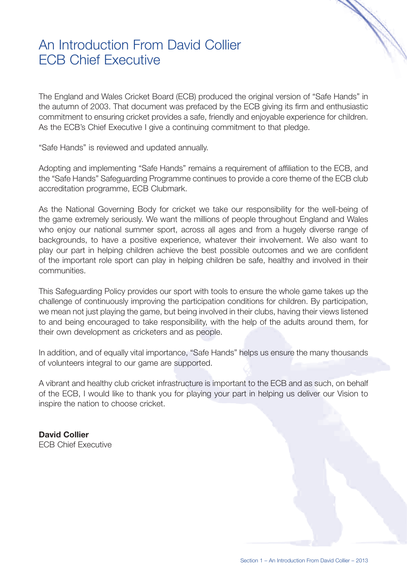#### An Introduction From David Collier ECB Chief Executive

The England and Wales Cricket Board (ECB) produced the original version of "Safe Hands" in the autumn of 2003. That document was prefaced by the ECB giving its firm and enthusiastic commitment to ensuring cricket provides a safe, friendly and enjoyable experience for children. As the ECB's Chief Executive I give a continuing commitment to that pledge.

"Safe Hands" is reviewed and updated annually.

Adopting and implementing "Safe Hands" remains a requirement of affiliation to the ECB, and the "Safe Hands" Safeguarding Programme continues to provide a core theme of the ECB club accreditation programme, ECB Clubmark.

As the National Governing Body for cricket we take our responsibility for the well-being of the game extremely seriously. We want the millions of people throughout England and Wales who enjoy our national summer sport, across all ages and from a hugely diverse range of backgrounds, to have a positive experience, whatever their involvement. We also want to play our part in helping children achieve the best possible outcomes and we are confident of the important role sport can play in helping children be safe, healthy and involved in their communities.

This Safeguarding Policy provides our sport with tools to ensure the whole game takes up the challenge of continuously improving the participation conditions for children. By participation, we mean not just playing the game, but being involved in their clubs, having their views listened to and being encouraged to take responsibility, with the help of the adults around them, for their own development as cricketers and as people.

In addition, and of equally vital importance, "Safe Hands" helps us ensure the many thousands of volunteers integral to our game are supported.

A vibrant and healthy club cricket infrastructure is important to the ECB and as such, on behalf of the ECB, I would like to thank you for playing your part in helping us deliver our Vision to inspire the nation to choose cricket.

**David Collier** ECB Chief Executive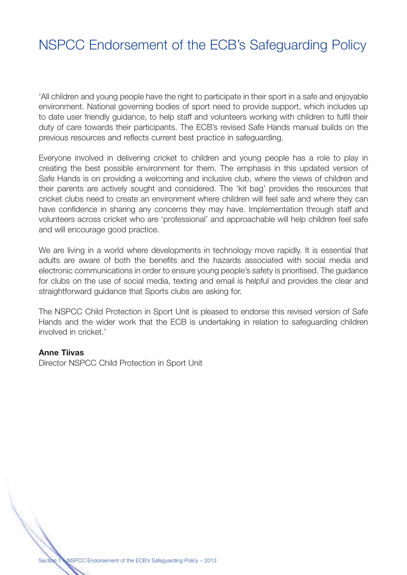## NSPCC Endorsement of the ECB's Safeguarding Policy

'All children and young people have the right to participate in their sport in a safe and enjoyable environment. National governing bodies of sport need to provide support, which includes up to date user friendly guidance, to help staff and volunteers working with children to fulfil their duty of care towards their participants. The ECB's revised Safe Hands manual builds on the previous resources and reflects current best practice in safeguarding.

Everyone involved in delivering cricket to children and young people has a role to play in creating the best possible environment for them. The emphasis in this updated version of Safe Hands is on providing a welcoming and inclusive club, where the views of children and their parents are actively sought and considered. The 'kit bag' provides the resources that cricket clubs need to create an environment where children will feel safe and where they can have confidence in sharing any concerns they may have. Implementation through staff and volunteers across cricket who are 'professional' and approachable will help children feel safe and will encourage good practice.

We are living in a world where developments in technology move rapidly. It is essential that adults are aware of both the benefits and the hazards associated with social media and electronic communications in order to ensure young people's safety is prioritised. The guidance for clubs on the use of social media, texting and email is helpful and provides the clear and straightforward guidance that Sports clubs are asking for.

The NSPCC Child Protection in Sport Unit is pleased to endorse this revised version of Safe Hands and the wider work that the ECB is undertaking in relation to safeguarding children involved in cricket.'

#### **Anne Tiivas**

Director NSPCC Child Protection in Sport Unit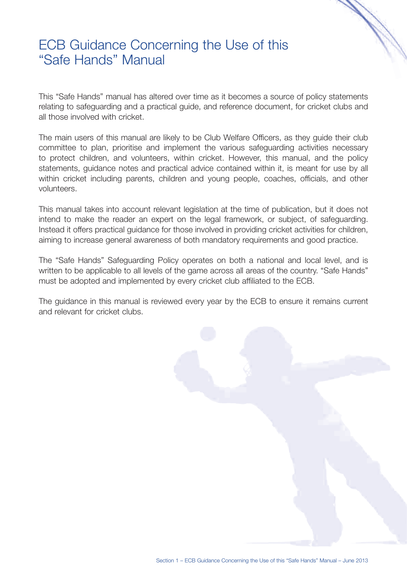#### ECB Guidance Concerning the Use of this "Safe Hands" Manual

This "Safe Hands" manual has altered over time as it becomes a source of policy statements relating to safeguarding and a practical guide, and reference document, for cricket clubs and all those involved with cricket.

The main users of this manual are likely to be Club Welfare Officers, as they guide their club committee to plan, prioritise and implement the various safeguarding activities necessary to protect children, and volunteers, within cricket. However, this manual, and the policy statements, guidance notes and practical advice contained within it, is meant for use by all within cricket including parents, children and young people, coaches, officials, and other volunteers.

This manual takes into account relevant legislation at the time of publication, but it does not intend to make the reader an expert on the legal framework, or subject, of safeguarding. Instead it offers practical guidance for those involved in providing cricket activities for children, aiming to increase general awareness of both mandatory requirements and good practice.

The "Safe Hands" Safeguarding Policy operates on both a national and local level, and is written to be applicable to all levels of the game across all areas of the country. "Safe Hands" must be adopted and implemented by every cricket club affiliated to the ECB.

The guidance in this manual is reviewed every year by the ECB to ensure it remains current and relevant for cricket clubs.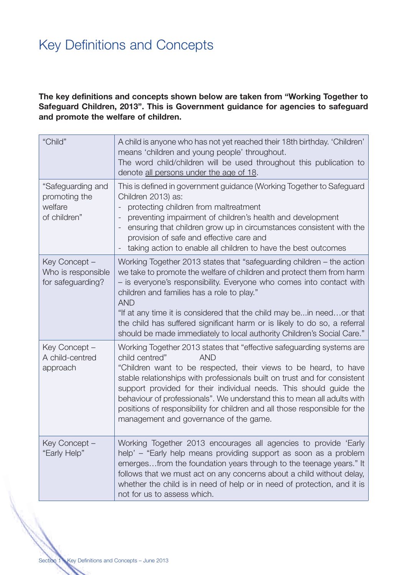### Key Definitions and Concepts

#### **The key definitions and concepts shown below are taken from "Working Together to Safeguard Children, 2013". This is Government guidance for agencies to safeguard and promote the welfare of children.**

| "Child"                                                       | A child is anyone who has not yet reached their 18th birthday. 'Children'<br>means 'children and young people' throughout.<br>The word child/children will be used throughout this publication to<br>denote all persons under the age of 18.                                                                                                                                                                                                                                                                                    |
|---------------------------------------------------------------|---------------------------------------------------------------------------------------------------------------------------------------------------------------------------------------------------------------------------------------------------------------------------------------------------------------------------------------------------------------------------------------------------------------------------------------------------------------------------------------------------------------------------------|
| "Safeguarding and<br>promoting the<br>welfare<br>of children" | This is defined in government guidance (Working Together to Safeguard<br>Children 2013) as:<br>protecting children from maltreatment<br>preventing impairment of children's health and development<br>$\overline{\phantom{a}}$<br>ensuring that children grow up in circumstances consistent with the<br>provision of safe and effective care and<br>taking action to enable all children to have the best outcomes                                                                                                             |
| Key Concept –<br>Who is responsible<br>for safeguarding?      | Working Together 2013 states that "safeguarding children – the action<br>we take to promote the welfare of children and protect them from harm<br>- is everyone's responsibility. Everyone who comes into contact with<br>children and families has a role to play."<br><b>AND</b><br>"If at any time it is considered that the child may be in need or that<br>the child has suffered significant harm or is likely to do so, a referral<br>should be made immediately to local authority Children's Social Care."             |
| Key Concept -<br>A child-centred<br>approach                  | Working Together 2013 states that "effective safeguarding systems are<br>child centred"<br><b>AND</b><br>"Children want to be respected, their views to be heard, to have<br>stable relationships with professionals built on trust and for consistent<br>support provided for their individual needs. This should guide the<br>behaviour of professionals". We understand this to mean all adults with<br>positions of responsibility for children and all those responsible for the<br>management and governance of the game. |
| Key Concept -<br>"Early Help"                                 | Working Together 2013 encourages all agencies to provide 'Early<br>help' - "Early help means providing support as soon as a problem<br>emergesfrom the foundation years through to the teenage years." It<br>follows that we must act on any concerns about a child without delay,<br>whether the child is in need of help or in need of protection, and it is<br>not for us to assess which.                                                                                                                                   |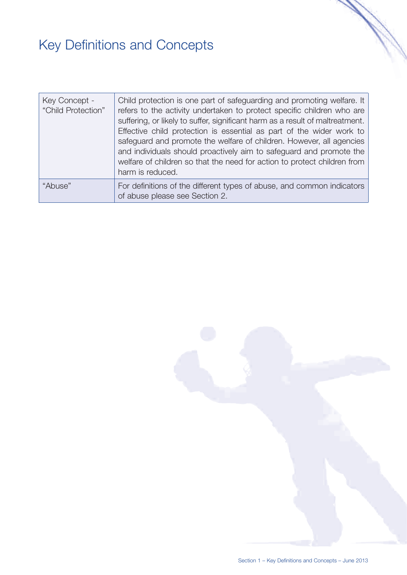# Key Definitions and Concepts

| Key Concept -<br>"Child Protection" | Child protection is one part of safeguarding and promoting welfare. It<br>refers to the activity undertaken to protect specific children who are<br>suffering, or likely to suffer, significant harm as a result of maltreatment.<br>Effective child protection is essential as part of the wider work to<br>safeguard and promote the welfare of children. However, all agencies<br>and individuals should proactively aim to safeguard and promote the<br>welfare of children so that the need for action to protect children from<br>harm is reduced. |
|-------------------------------------|----------------------------------------------------------------------------------------------------------------------------------------------------------------------------------------------------------------------------------------------------------------------------------------------------------------------------------------------------------------------------------------------------------------------------------------------------------------------------------------------------------------------------------------------------------|
| "Abuse"                             | For definitions of the different types of abuse, and common indicators<br>of abuse please see Section 2.                                                                                                                                                                                                                                                                                                                                                                                                                                                 |

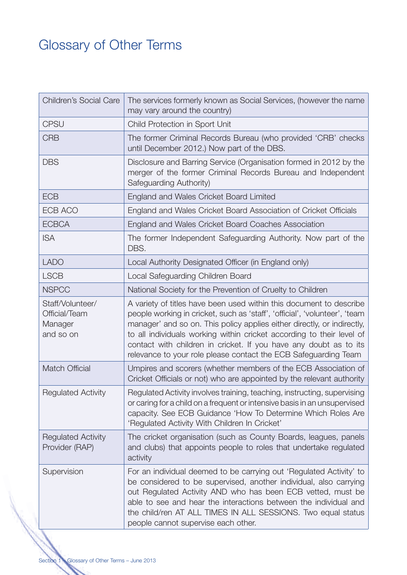## Glossary of Other Terms

| <b>Children's Social Care</b>                             | The services formerly known as Social Services, (however the name<br>may vary around the country)                                                                                                                                                                                                                                                                                                                                             |
|-----------------------------------------------------------|-----------------------------------------------------------------------------------------------------------------------------------------------------------------------------------------------------------------------------------------------------------------------------------------------------------------------------------------------------------------------------------------------------------------------------------------------|
| <b>CPSU</b>                                               | Child Protection in Sport Unit                                                                                                                                                                                                                                                                                                                                                                                                                |
| <b>CRB</b>                                                | The former Criminal Records Bureau (who provided 'CRB' checks<br>until December 2012.) Now part of the DBS.                                                                                                                                                                                                                                                                                                                                   |
| <b>DBS</b>                                                | Disclosure and Barring Service (Organisation formed in 2012 by the<br>merger of the former Criminal Records Bureau and Independent<br>Safeguarding Authority)                                                                                                                                                                                                                                                                                 |
| <b>ECB</b>                                                | England and Wales Cricket Board Limited                                                                                                                                                                                                                                                                                                                                                                                                       |
| ECB ACO                                                   | England and Wales Cricket Board Association of Cricket Officials                                                                                                                                                                                                                                                                                                                                                                              |
| <b>ECBCA</b>                                              | England and Wales Cricket Board Coaches Association                                                                                                                                                                                                                                                                                                                                                                                           |
| <b>ISA</b>                                                | The former Independent Safeguarding Authority. Now part of the<br>DBS.                                                                                                                                                                                                                                                                                                                                                                        |
| <b>LADO</b>                                               | Local Authority Designated Officer (in England only)                                                                                                                                                                                                                                                                                                                                                                                          |
| <b>LSCB</b>                                               | Local Safeguarding Children Board                                                                                                                                                                                                                                                                                                                                                                                                             |
| <b>NSPCC</b>                                              | National Society for the Prevention of Cruelty to Children                                                                                                                                                                                                                                                                                                                                                                                    |
| Staff/Volunteer/<br>Official/Team<br>Manager<br>and so on | A variety of titles have been used within this document to describe<br>people working in cricket, such as 'staff', 'official', 'volunteer', 'team<br>manager' and so on. This policy applies either directly, or indirectly,<br>to all individuals working within cricket according to their level of<br>contact with children in cricket. If you have any doubt as to its<br>relevance to your role please contact the ECB Safeguarding Team |
| <b>Match Official</b>                                     | Umpires and scorers (whether members of the ECB Association of<br>Cricket Officials or not) who are appointed by the relevant authority                                                                                                                                                                                                                                                                                                       |
| <b>Regulated Activity</b>                                 | Regulated Activity involves training, teaching, instructing, supervising<br>or caring for a child on a frequent or intensive basis in an unsupervised<br>capacity. See ECB Guidance 'How To Determine Which Roles Are<br>'Regulated Activity With Children In Cricket'                                                                                                                                                                        |
| <b>Regulated Activity</b><br>Provider (RAP)               | The cricket organisation (such as County Boards, leagues, panels<br>and clubs) that appoints people to roles that undertake regulated<br>activity                                                                                                                                                                                                                                                                                             |
| Supervision                                               | For an individual deemed to be carrying out 'Regulated Activity' to<br>be considered to be supervised, another individual, also carrying<br>out Regulated Activity AND who has been ECB vetted, must be<br>able to see and hear the interactions between the individual and<br>the child/ren AT ALL TIMES IN ALL SESSIONS. Two equal status<br>people cannot supervise each other.                                                            |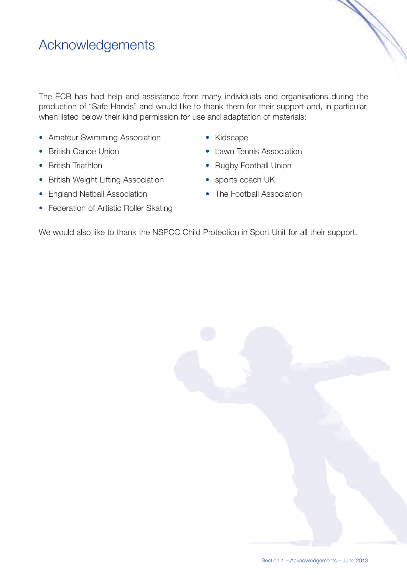#### Acknowledgements

The ECB has had help and assistance from many individuals and organisations during the production of "Safe Hands" and would like to thank them for their support and, in particular, when listed below their kind permission for use and adaptation of materials:

- Amateur Swimming Association
- British Canoe Union
- British Triathlon
- British Weight Lifting Association
- England Netball Association
- Federation of Artistic Roller Skating
- Kidscape
- Lawn Tennis Association
- Rugby Football Union
- sports coach UK
- The Football Association

We would also like to thank the NSPCC Child Protection in Sport Unit for all their support.